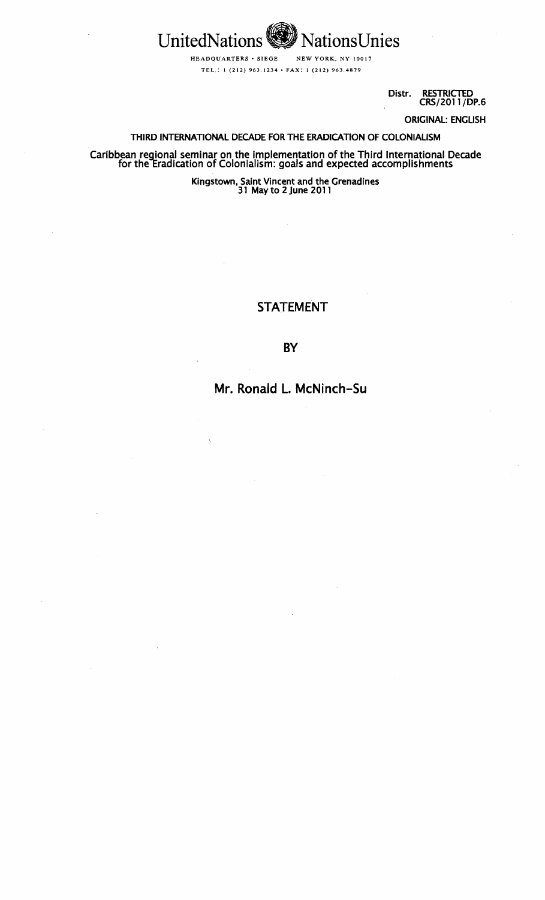

HEADQUARTERS· SIEGE NEW YORK, NY 10017 TEL.: 1 (212) 963.1234· FAX: 1 (212) 963.4879

> Distr. RESTRICTED CRS/2011/DP.6

> > ORIGINAL: ENGUSH

## THIRD INTERNATIONAL DECADE FOR THE ERADICATION OF COLONIAUSM

Caribbean regional seminar on the implementation of the Third International Decade for the Eradication of Colonialism: goals and expected accomplishments

Kingstown, Saint Vincent and the Grenadines 31 May to 2June 2011

# STATEMENT

# BY

# Mr. Ronald L. McNinch-Su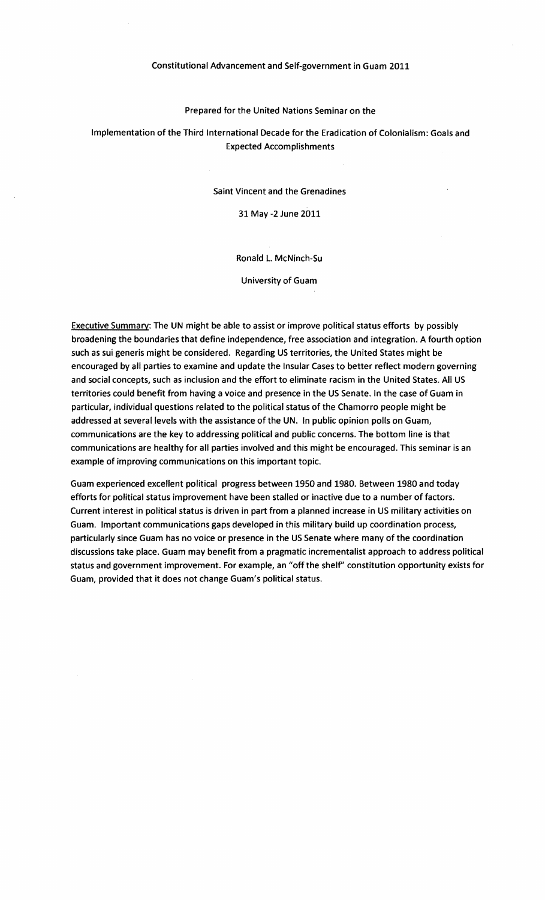#### Constitutional Advancement and Self-government in Guam 2011

#### Prepared for the United Nations Seminar on the

# Implementation of the Third International Decade for the Eradication of Colonialism: Goals and Expected Accomplishments

#### Saint Vincent and the Grenadines

## 31 May -2 June 2011

### Ronald l. McNinch-Su

#### University of Guam

Executive Summary: The UN might be able to assist or improve political status efforts by possibly broadening the boundaries that define independence, free association and integration. A fourth option such as sui generis might be considered. Regarding US territories, the United States might be encouraged by all parties to examine and update the Insular Cases to better reflect modern governing and social concepts, such as inclusion and the effort to eliminate racism in the United States. All US territories could benefit from having a voice and presence in the US Senate. In the case of Guam in particular, individual questions related to the political status of the Chamorro people might be addressed at several levels with the assistance of the UN. In public opinion polls on Guam, communications are the key to addressing political and public concerns. The bottom line is that communications are healthy for all parties involved and this might be encouraged. This seminar is an example of improving communications on this important topic.

Guam experienced excellent political progress between 1950 and 1980. Between 1980 and today efforts for political status improvement have been stalled or inactive due to a number of factors. Current interest in political status is driven in part from a planned increase in US military activities on Guam. Important communications gaps developed in this military build up coordination process, particularly since Guam has no voice or presence in the US Senate where many of the coordination discussions take place. Guam may benefit from a pragmatic incrementalist approach to address political status and government improvement. For example, an "off the shelf' constitution opportunity exists for Guam, provided that it does not change Guam's political status.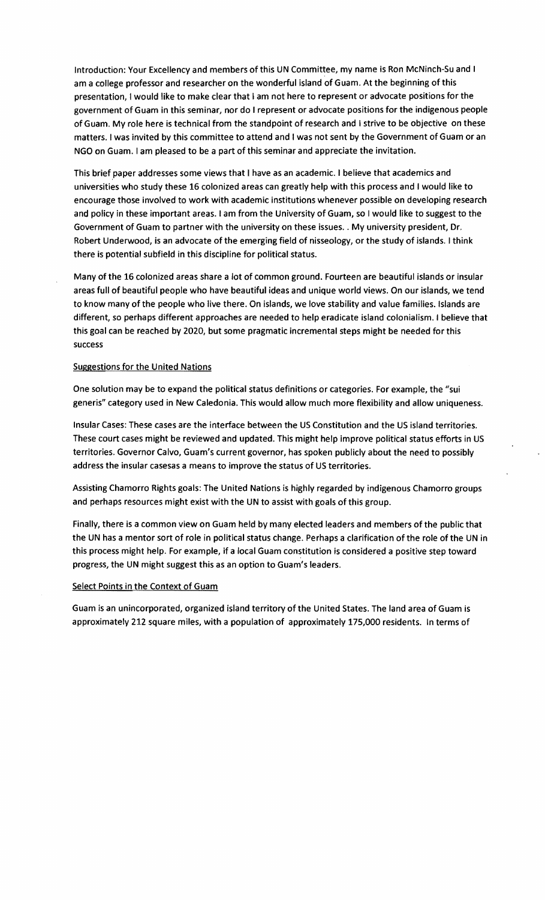Introduction: Your Excellency and members of this UN Committee, my name is Ron McNinch-Su and I am a college professor and researcher on the wonderful island of Guam. At the beginning of this presentation, I would like to make clear that I am not here to represent or advocate positions for the government of Guam in this seminar, nor do I represent or advocate positions for the indigenous people of Guam. My role here is technical from the standpoint of research and I strive to be objective on these matters. I was invited by this committee to attend and I was not sent by the Government of Guam or an NGO on Guam. I am pleased to be a part of this seminar and appreciate the invitation.

This brief paper addresses some views that I have as an academic. I believe that academics and universities who study these 16 colonized areas can greatly help with this process and I would like to encourage those involved to work with academic institutions whenever possible on developing research and policy in these important areas. I am from the University of Guam, so I would like to suggest to the Government of Guam to partner with the university on these issues .. My university president, Dr. Robert Underwood, is an advocate of the emerging field of nisseology, or the study of islands. I think there is potential subfield in this discipline for political status.

Many of the 16 colonized areas share a lot of common ground. Fourteen are beautiful islands or insular areas full of beautiful people who have beautiful ideas and unique world views. On our islands, we tend to know many of the people who live there. On islands, we love stability and value families. Islands are different, so perhaps different approaches are needed to help eradicate island colonialism. I believe that this goal can be reached by 2020, but some pragmatic incremental steps might be needed for this success

## Suggestions for the United Nations

One solution may be to expand the political status definitions or categories. For example, the "sui generis" category used in New Caledonia. This would allow much more flexibility and allow uniqueness.

Insular Cases: These cases are the interface between the US Constitution and the US island territories. These court cases might be reviewed and updated. This might help improve political status efforts in US territories. Governor Calvo, Guam's current governor, has spoken publicly about the need to possibly address the insular casesas a means to improve the status of US territories.

Assisting Chamorro Rights goals: The United Nations is highly regarded by indigenous Chamorro groups and perhaps resources might exist with the UN to assist with goals of this group.

Finally, there is a common view on Guam held by many elected leaders and members of the public that the UN has a mentor sort of role in political status change. Perhaps a clarification of the role of the UN in this process might help. For example, if a local Guam constitution is considered a positive step toward progress, the UN might suggest this as an option to Guam's leaders.

#### Select Points in the Context of Guam

Guam is an unincorporated, organized island territory of the United States. The land area of Guam is approximately 212 square miles, with a population of approximately 175,000 residents. In terms of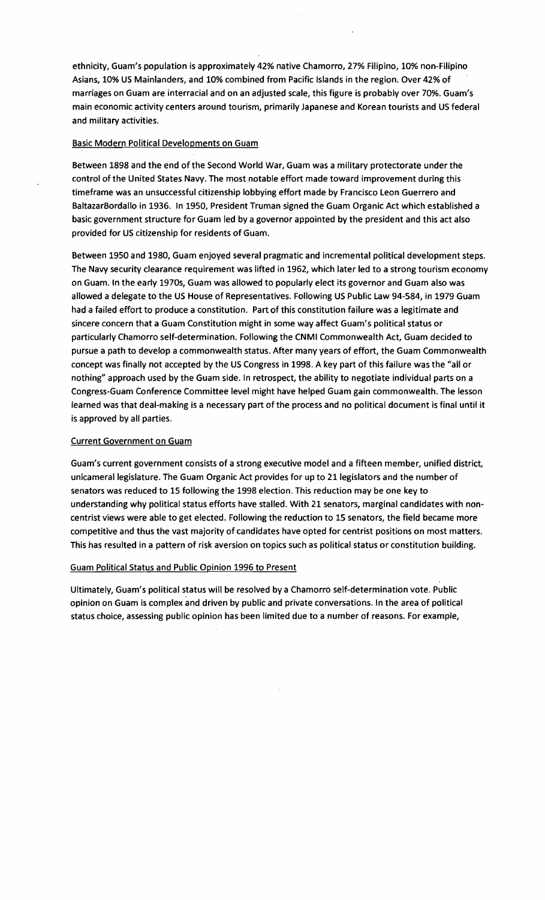ethnicity, Guam's population is approximately 42% native Chamorro, 27% Filipino, 10% non-Filipino Asians, 10% US Mainlanders, and 10% combined from Pacific Islands in the region. Over 42% of marriages on Guam are interracial and on an adjusted scale, this figure is probably over 70%. Guam's main economic activity centers around tourism, primarily Japanese and Korean tourists and US federal and military activities.

## Basic Modern Political Developments on Guam

Between 1898 and the end of the Second World War, Guam was a military protectorate under the control of the United States Navy. The most notable effort made toward improvement during this timeframe was an unsuccessful citizenship lobbying effort made by Francisco Leon Guerrero and BaltazarBordallo in 1936. In 1950, President Truman signed the Guam Organic Act which established a basic government structure for Guam led by a governor appointed by the president and this act also provided for US citizenship for residents of Guam.

Between 1950 and 1980, Guam enjoyed several pragmatic and incremental political development steps. The Navy security clearance requirement was lifted in 1962, which later led to a strong tourism economy on Guam. In the early 1970s, Guam was allowed to popularly elect its governor and Guam also was allowed a delegate to the US House of Representatives. Following US Public Law 94-584, in 1979 Guam had a failed effort to produce a constitution. Part of this constitution failure was a legitimate and sincere concern that a Guam Constitution might in some way affect Guam's political status or particularly Chamorro self-determination. Following the CNMI Commonwealth Act, Guam decided to pursue a path to develop a commonwealth status. After many years of effort, the Guam Commonwealth concept was finally not accepted by the US Congress in 1998. A key part of this failure was the "all or nothing" approach used by the Guam side. In retrospect, the ability to negotiate individual parts on a Congress-Guam Conference Committee level might have helped Guam gain commonwealth. The lesson learned was that deal-making is a necessary part of the process and no political document is final until it is approved by all parties.

#### Current Government on Guam

Guam's current government consists of a strong executive model and a fifteen member, unified district, unicameral legislature. The Guam Organic Act provides for up to 21 legislators and the number of senators was reduced to 15 following the 1998 election. This reduction may be one key to understanding why political status efforts have stalled. With 21 senators, marginal candidates with noncentrist views were able to get elected. Following the reduction to 15 senators, the field became more competitive and thus the vast majority of candidates have opted for centrist positions on most matters. This has resulted in a pattern of risk aversion on topics such as political status or constitution building.

#### Guam Political Status and Public Opinion 1996 to Present

Ultimately, Guam's political status will be resolved by a Chamorro self-determination vote. Public opinion on Guam is complex and driven by public and private conversations. In the area of political status choice, assessing public opinion has been limited due to a number of reasons. For example,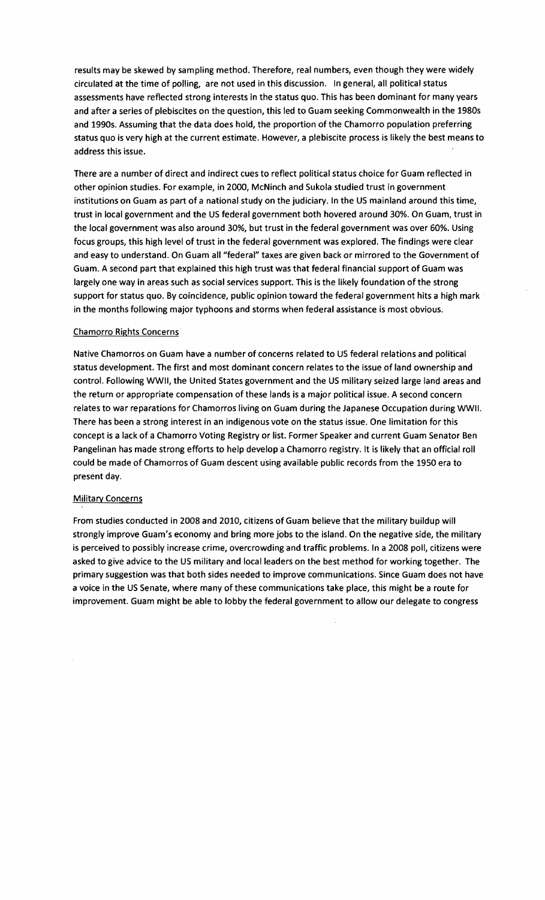results may be skewed by sampling method. Therefore, real numbers, even though they were widely circulated at the time of polling, are not used in this discussion. In general, all political status assessments have reflected strong interests in the status quo. This has been dominant for many years and after a series of plebiscites on the question, this led to Guamseeking Commonwealth in the 1980s and 1990s. Assuming that the data does hold, the proportion of the Chamorro population preferring status quo is very high at the current estimate. However, a plebiscite process is likely the best means to address this issue.

There are a number of direct and indirect cues to reflect political status choice for Guam reflected in other opinion studies. For example, in 2000, McNinch and Sukola studied trust in government institutions on Guam as part of a national study on the judiciary. In the US mainland around this time, trust in local government and the US federal government both hovered around 30%. On Guam, trust in the local government was also around 30%, but trust in the federal government was over 60%. Using focus groups, this high level of trust in the federal government was explored. The findings were clear and easy to understand. On Guam all"federal" taxes are given back or mirrored to the Government of Guam. A second part that explained this high trust was that federal financial support of Guam was largely one way in areas such as social services support. This is the likely foundation of the strong support for status quo. By coincidence, public opinion toward the federal government hits a high mark in the months following major typhoons and storms when federal assistance is most obvious.

#### Chamorro Rights Concerns

Native Chamorros on Guam have a number of concerns related to US federal relations and political status development. The first and most dominant concern relates to the issue of land ownership and control. Following WWII, the United States government and the US military seized large land areas and the return or appropriate compensation of these lands is a major political issue. A second concern relates to war reparations for Chamorros living on Guam during the Japanese Occupation during WWII. There has been a strong interest in an indigenous vote on the status issue. One limitation for this concept is a lack of a Chamorro Voting Registry or list. Former Speaker and current Guam Senator Ben Pangelinan has made strong efforts to help develop a Chamorro registry. It is likely that an official roll could be made of Chamorros of Guam descent using available public records from the 1950 era to present day.

#### **Military Concerns**

From studies conducted in 2008 and 2010, citizens of Guam believe that the military buildup will strongly improve Guam's economy and bring more jobs to the island. On the negative side, the military is perceived to possibly increase crime, overcrowding and traffic problems. In a 2008 poll, citizens were asked to give advice to the US military and local leaders on the best method for working together. The primary suggestion was that both sides needed to improve communications. Since Guam does not have a voice in the US Senate, where many of these communications take place, this might be a route for improvement. Guam might be able to lobby the federal government to allow our delegate to congress